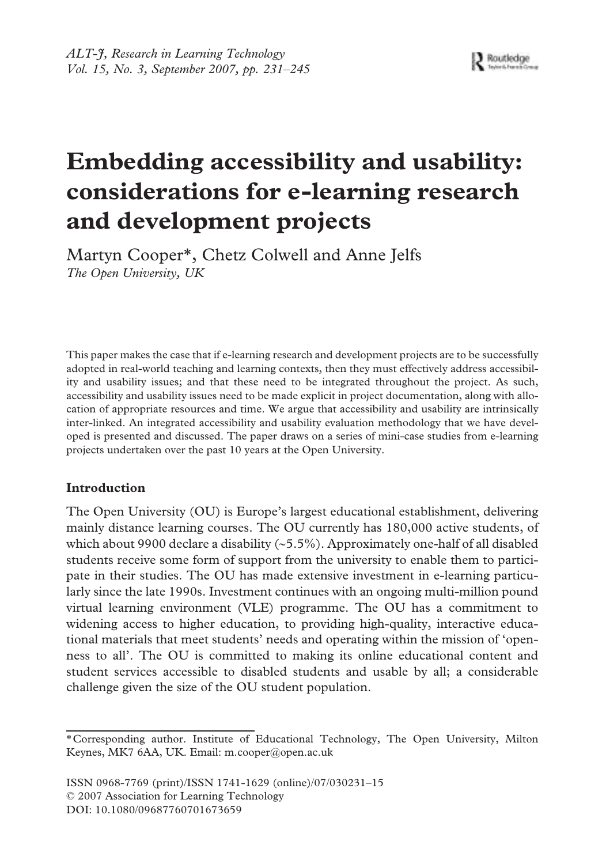# **Embedding accessibility and usability: considerations for e-learning research and development projects**

Martyn Cooper\*, Chetz Colwell and Anne Jelfs *The Open University, UK*

This paper makes the case that if e-learning research and development projects are to be successfully adopted in real-world teaching and learning contexts, then they must effectively address accessibility and usability issues; and that these need to be integrated throughout the project. As such, accessibility and usability issues need to be made explicit in project documentation, along with allocation of appropriate resources and time. We argue that accessibility and usability are intrinsically inter-linked. An integrated accessibility and usability evaluation methodology that we have developed is presented and discussed. The paper draws on a series of mini-case studies from e-learning projects undertaken over the past 10 years at the Open University.

# **Introduction**

The Open University (OU) is Europe's largest educational establishment, delivering mainly distance learning courses. The OU currently has 180,000 active students, of which about 9900 declare a disability (∼5.5%). Approximately one-half of all disabled students receive some form of support from the university to enable them to participate in their studies. The OU has made extensive investment in e-learning particularly since the late 1990s. Investment continues with an ongoing multi-million pound virtual learning environment (VLE) programme. The OU has a commitment to widening access to higher education, to providing high-quality, interactive educational materials that meet students' needs and operating within the mission of 'openness to all'. The OU is committed to making its online educational content and student services accessible to disabled students and usable by all; a considerable challenge given the size of the OU student population.

ISSN 0968-7769 (print)/ISSN 1741-1629 (online)/07/030231–15 © 2007 Association for Learning Technology DOI: 10.1080/09687760701673659

<sup>\*</sup>Corresponding author. Institute of Educational Technology, The Open University, Milton Keynes, MK7 6AA, UK. Email: m.cooper@open.ac.uk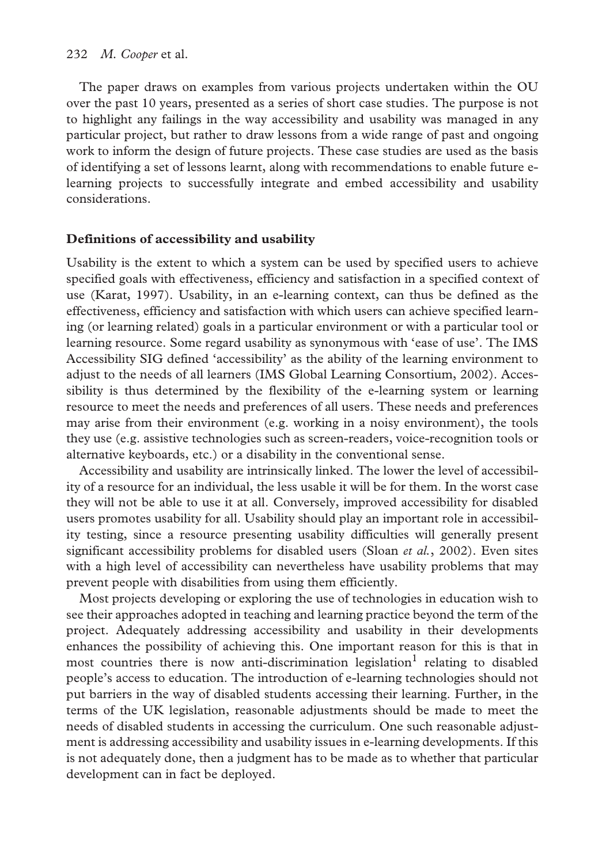The paper draws on examples from various projects undertaken within the OU over the past 10 years, presented as a series of short case studies. The purpose is not to highlight any failings in the way accessibility and usability was managed in any particular project, but rather to draw lessons from a wide range of past and ongoing work to inform the design of future projects. These case studies are used as the basis of identifying a set of lessons learnt, along with recommendations to enable future elearning projects to successfully integrate and embed accessibility and usability considerations.

## **Definitions of accessibility and usability**

Usability is the extent to which a system can be used by specified users to achieve specified goals with effectiveness, efficiency and satisfaction in a specified context of use (Karat, 1997). Usability, in an e-learning context, can thus be defined as the effectiveness, efficiency and satisfaction with which users can achieve specified learning (or learning related) goals in a particular environment or with a particular tool or learning resource. Some regard usability as synonymous with 'ease of use'. The IMS Accessibility SIG defined 'accessibility' as the ability of the learning environment to adjust to the needs of all learners (IMS Global Learning Consortium, 2002). Accessibility is thus determined by the flexibility of the e-learning system or learning resource to meet the needs and preferences of all users. These needs and preferences may arise from their environment (e.g. working in a noisy environment), the tools they use (e.g. assistive technologies such as screen-readers, voice-recognition tools or alternative keyboards, etc.) or a disability in the conventional sense.

Accessibility and usability are intrinsically linked. The lower the level of accessibility of a resource for an individual, the less usable it will be for them. In the worst case they will not be able to use it at all. Conversely, improved accessibility for disabled users promotes usability for all. Usability should play an important role in accessibility testing, since a resource presenting usability difficulties will generally present significant accessibility problems for disabled users (Sloan *et al.*, 2002). Even sites with a high level of accessibility can nevertheless have usability problems that may prevent people with disabilities from using them efficiently.

Most projects developing or exploring the use of technologies in education wish to see their approaches adopted in teaching and learning practice beyond the term of the project. Adequately addressing accessibility and usability in their developments enhances the possibility of achieving this. One important reason for this is that in most countries there is now anti-discrimination legislation<sup>1</sup> relating to disabled people's access to education. The introduction of e-learning technologies should not put barriers in the way of disabled students accessing their learning. Further, in the terms of the UK legislation, reasonable adjustments should be made to meet the needs of disabled students in accessing the curriculum. One such reasonable adjustment is addressing accessibility and usability issues in e-learning developments. If this is not adequately done, then a judgment has to be made as to whether that particular development can in fact be deployed.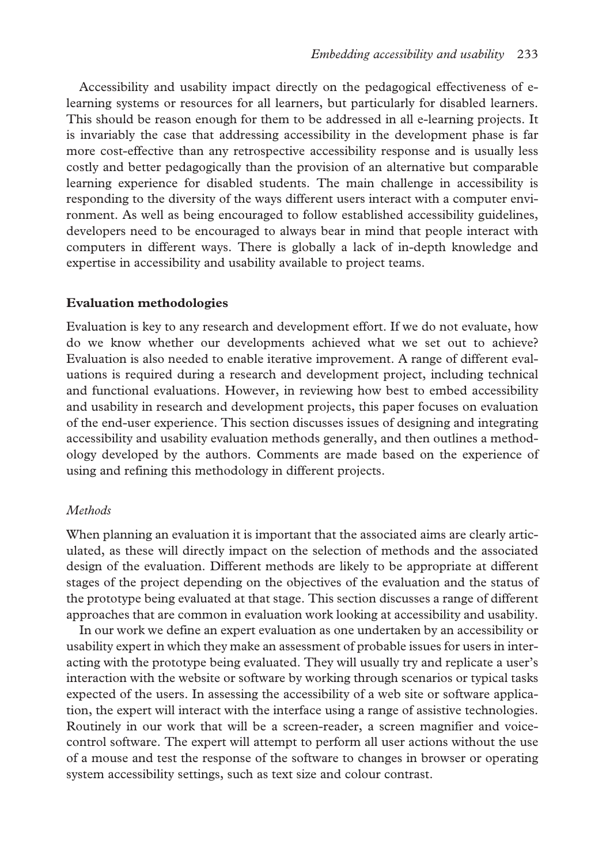Accessibility and usability impact directly on the pedagogical effectiveness of elearning systems or resources for all learners, but particularly for disabled learners. This should be reason enough for them to be addressed in all e-learning projects. It is invariably the case that addressing accessibility in the development phase is far more cost-effective than any retrospective accessibility response and is usually less costly and better pedagogically than the provision of an alternative but comparable learning experience for disabled students. The main challenge in accessibility is responding to the diversity of the ways different users interact with a computer environment. As well as being encouraged to follow established accessibility guidelines, developers need to be encouraged to always bear in mind that people interact with computers in different ways. There is globally a lack of in-depth knowledge and expertise in accessibility and usability available to project teams.

### **Evaluation methodologies**

Evaluation is key to any research and development effort. If we do not evaluate, how do we know whether our developments achieved what we set out to achieve? Evaluation is also needed to enable iterative improvement. A range of different evaluations is required during a research and development project, including technical and functional evaluations. However, in reviewing how best to embed accessibility and usability in research and development projects, this paper focuses on evaluation of the end-user experience. This section discusses issues of designing and integrating accessibility and usability evaluation methods generally, and then outlines a methodology developed by the authors. Comments are made based on the experience of using and refining this methodology in different projects.

## *Methods*

When planning an evaluation it is important that the associated aims are clearly articulated, as these will directly impact on the selection of methods and the associated design of the evaluation. Different methods are likely to be appropriate at different stages of the project depending on the objectives of the evaluation and the status of the prototype being evaluated at that stage. This section discusses a range of different approaches that are common in evaluation work looking at accessibility and usability.

In our work we define an expert evaluation as one undertaken by an accessibility or usability expert in which they make an assessment of probable issues for users in interacting with the prototype being evaluated. They will usually try and replicate a user's interaction with the website or software by working through scenarios or typical tasks expected of the users. In assessing the accessibility of a web site or software application, the expert will interact with the interface using a range of assistive technologies. Routinely in our work that will be a screen-reader, a screen magnifier and voicecontrol software. The expert will attempt to perform all user actions without the use of a mouse and test the response of the software to changes in browser or operating system accessibility settings, such as text size and colour contrast.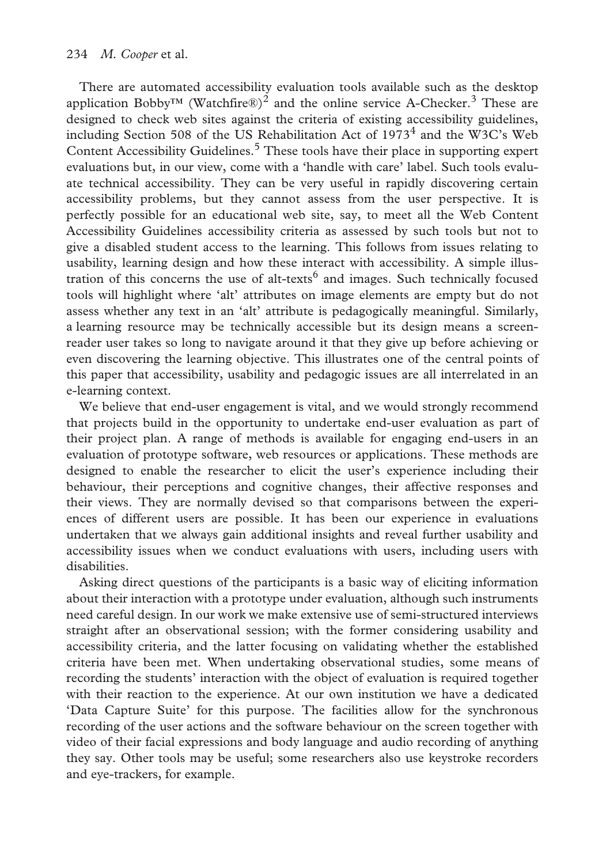There are automated accessibility evaluation tools available such as the desktop application Bobby<sup>™</sup> (Watchfire®)<sup>2</sup> and the online service A-Checker.<sup>3</sup> These are designed to check web sites against the criteria of existing accessibility guidelines, including Section 508 of the US Rehabilitation Act of  $1973<sup>4</sup>$  and the W3C's Web Content Accessibility Guidelines.<sup>5</sup> These tools have their place in supporting expert evaluations but, in our view, come with a 'handle with care' label. Such tools evaluate technical accessibility. They can be very useful in rapidly discovering certain accessibility problems, but they cannot assess from the user perspective. It is perfectly possible for an educational web site, say, to meet all the Web Content Accessibility Guidelines accessibility criteria as assessed by such tools but not to give a disabled student access to the learning. This follows from issues relating to usability, learning design and how these interact with accessibility. A simple illustration of this concerns the use of alt-texts<sup>6</sup> and images. Such technically focused tools will highlight where 'alt' attributes on image elements are empty but do not assess whether any text in an 'alt' attribute is pedagogically meaningful. Similarly, a learning resource may be technically accessible but its design means a screenreader user takes so long to navigate around it that they give up before achieving or even discovering the learning objective. This illustrates one of the central points of this paper that accessibility, usability and pedagogic issues are all interrelated in an e-learning context.

We believe that end-user engagement is vital, and we would strongly recommend that projects build in the opportunity to undertake end-user evaluation as part of their project plan. A range of methods is available for engaging end-users in an evaluation of prototype software, web resources or applications. These methods are designed to enable the researcher to elicit the user's experience including their behaviour, their perceptions and cognitive changes, their affective responses and their views. They are normally devised so that comparisons between the experiences of different users are possible. It has been our experience in evaluations undertaken that we always gain additional insights and reveal further usability and accessibility issues when we conduct evaluations with users, including users with disabilities.

Asking direct questions of the participants is a basic way of eliciting information about their interaction with a prototype under evaluation, although such instruments need careful design. In our work we make extensive use of semi-structured interviews straight after an observational session; with the former considering usability and accessibility criteria, and the latter focusing on validating whether the established criteria have been met. When undertaking observational studies, some means of recording the students' interaction with the object of evaluation is required together with their reaction to the experience. At our own institution we have a dedicated 'Data Capture Suite' for this purpose. The facilities allow for the synchronous recording of the user actions and the software behaviour on the screen together with video of their facial expressions and body language and audio recording of anything they say. Other tools may be useful; some researchers also use keystroke recorders and eye-trackers, for example.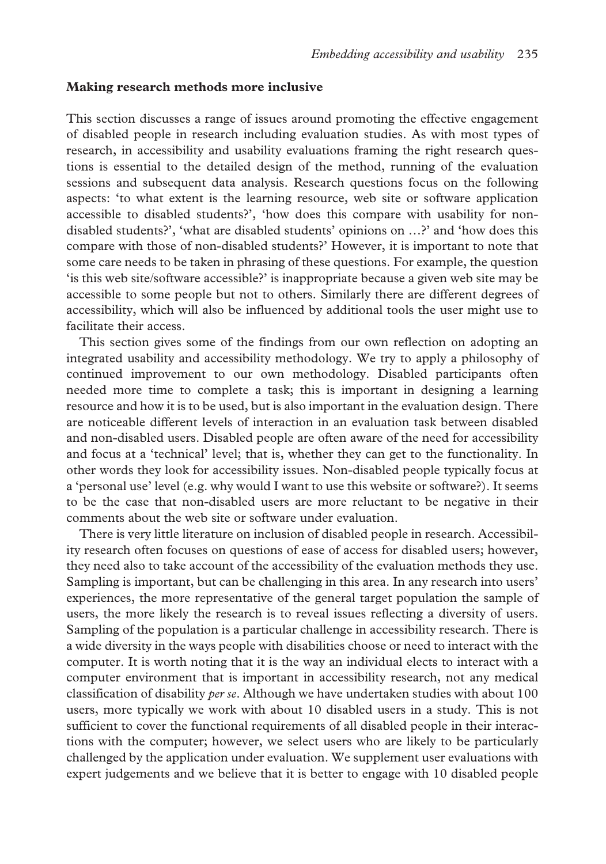#### **Making research methods more inclusive**

This section discusses a range of issues around promoting the effective engagement of disabled people in research including evaluation studies. As with most types of research, in accessibility and usability evaluations framing the right research questions is essential to the detailed design of the method, running of the evaluation sessions and subsequent data analysis. Research questions focus on the following aspects: 'to what extent is the learning resource, web site or software application accessible to disabled students?', 'how does this compare with usability for nondisabled students?', 'what are disabled students' opinions on …?' and 'how does this compare with those of non-disabled students?' However, it is important to note that some care needs to be taken in phrasing of these questions. For example, the question 'is this web site/software accessible?' is inappropriate because a given web site may be accessible to some people but not to others. Similarly there are different degrees of accessibility, which will also be influenced by additional tools the user might use to facilitate their access.

This section gives some of the findings from our own reflection on adopting an integrated usability and accessibility methodology. We try to apply a philosophy of continued improvement to our own methodology. Disabled participants often needed more time to complete a task; this is important in designing a learning resource and how it is to be used, but is also important in the evaluation design. There are noticeable different levels of interaction in an evaluation task between disabled and non-disabled users. Disabled people are often aware of the need for accessibility and focus at a 'technical' level; that is, whether they can get to the functionality. In other words they look for accessibility issues. Non-disabled people typically focus at a 'personal use' level (e.g. why would I want to use this website or software?). It seems to be the case that non-disabled users are more reluctant to be negative in their comments about the web site or software under evaluation.

There is very little literature on inclusion of disabled people in research. Accessibility research often focuses on questions of ease of access for disabled users; however, they need also to take account of the accessibility of the evaluation methods they use. Sampling is important, but can be challenging in this area. In any research into users' experiences, the more representative of the general target population the sample of users, the more likely the research is to reveal issues reflecting a diversity of users. Sampling of the population is a particular challenge in accessibility research. There is a wide diversity in the ways people with disabilities choose or need to interact with the computer. It is worth noting that it is the way an individual elects to interact with a computer environment that is important in accessibility research, not any medical classification of disability *per se*. Although we have undertaken studies with about 100 users, more typically we work with about 10 disabled users in a study. This is not sufficient to cover the functional requirements of all disabled people in their interactions with the computer; however, we select users who are likely to be particularly challenged by the application under evaluation. We supplement user evaluations with expert judgements and we believe that it is better to engage with 10 disabled people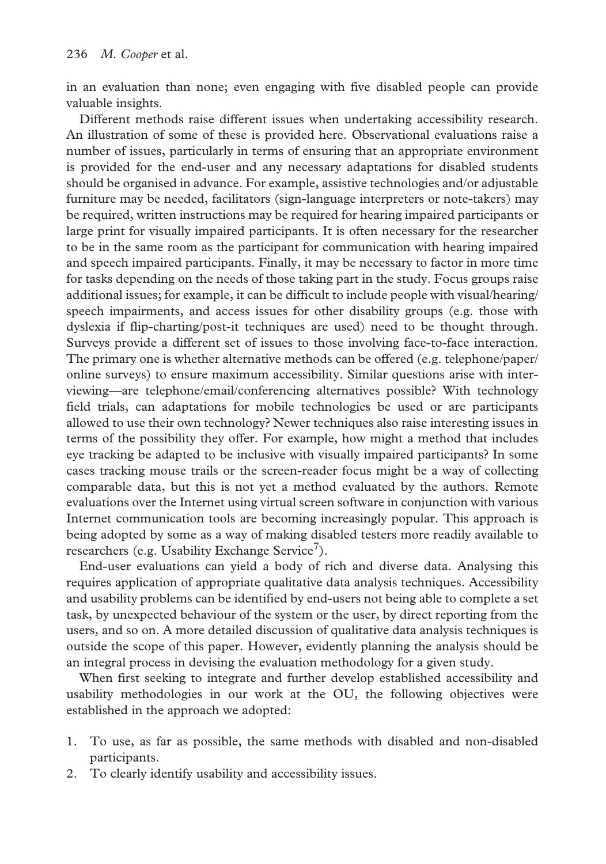in an evaluation than none; even engaging with five disabled people can provide valuable insights.

Different methods raise different issues when undertaking accessibility research. An illustration of some of these is provided here. Observational evaluations raise a number of issues, particularly in terms of ensuring that an appropriate environment is provided for the end-user and any necessary adaptations for disabled students should be organised in advance. For example, assistive technologies and/or adjustable furniture may be needed, facilitators (sign-language interpreters or note-takers) may be required, written instructions may be required for hearing impaired participants or large print for visually impaired participants. It is often necessary for the researcher to be in the same room as the participant for communication with hearing impaired and speech impaired participants. Finally, it may be necessary to factor in more time for tasks depending on the needs of those taking part in the study. Focus groups raise additional issues; for example, it can be difficult to include people with visual/hearing/ speech impairments, and access issues for other disability groups (e.g. those with dyslexia if flip-charting/post-it techniques are used) need to be thought through. Surveys provide a different set of issues to those involving face-to-face interaction. The primary one is whether alternative methods can be offered (e.g. telephone/paper/ online surveys) to ensure maximum accessibility. Similar questions arise with interviewing—are telephone/email/conferencing alternatives possible? With technology field trials, can adaptations for mobile technologies be used or are participants allowed to use their own technology? Newer techniques also raise interesting issues in terms of the possibility they offer. For example, how might a method that includes eye tracking be adapted to be inclusive with visually impaired participants? In some cases tracking mouse trails or the screen-reader focus might be a way of collecting comparable data, but this is not yet a method evaluated by the authors. Remote evaluations over the Internet using virtual screen software in conjunction with various Internet communication tools are becoming increasingly popular. This approach is being adopted by some as a way of making disabled testers more readily available to researchers (e.g. Usability Exchange Service<sup>7</sup>).

End-user evaluations can yield a body of rich and diverse data. Analysing this requires application of appropriate qualitative data analysis techniques. Accessibility and usability problems can be identified by end-users not being able to complete a set task, by unexpected behaviour of the system or the user, by direct reporting from the users, and so on. A more detailed discussion of qualitative data analysis techniques is outside the scope of this paper. However, evidently planning the analysis should be an integral process in devising the evaluation methodology for a given study.

When first seeking to integrate and further develop established accessibility and usability methodologies in our work at the OU, the following objectives were established in the approach we adopted:

- 1. To use, as far as possible, the same methods with disabled and non-disabled participants.
- 2. To clearly identify usability and accessibility issues.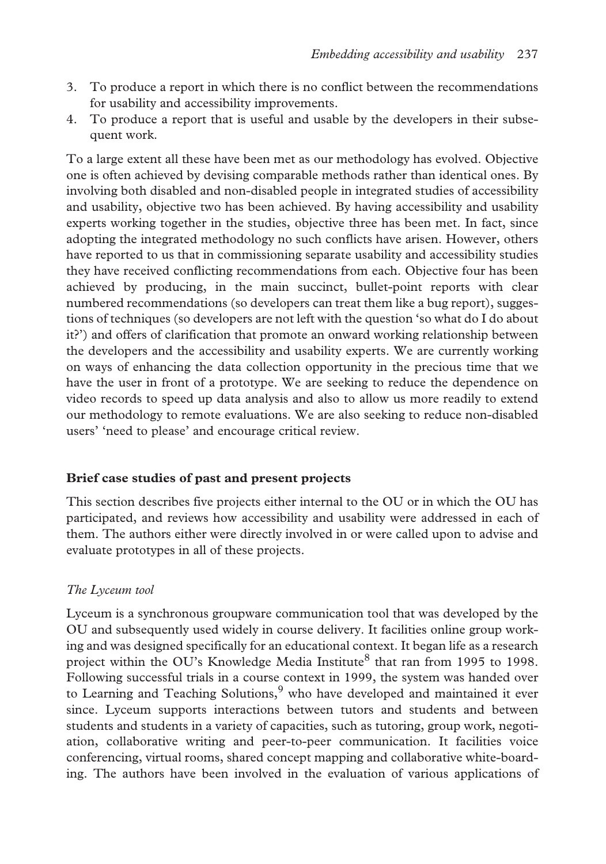- 3. To produce a report in which there is no conflict between the recommendations for usability and accessibility improvements.
- 4. To produce a report that is useful and usable by the developers in their subsequent work.

To a large extent all these have been met as our methodology has evolved. Objective one is often achieved by devising comparable methods rather than identical ones. By involving both disabled and non-disabled people in integrated studies of accessibility and usability, objective two has been achieved. By having accessibility and usability experts working together in the studies, objective three has been met. In fact, since adopting the integrated methodology no such conflicts have arisen. However, others have reported to us that in commissioning separate usability and accessibility studies they have received conflicting recommendations from each. Objective four has been achieved by producing, in the main succinct, bullet-point reports with clear numbered recommendations (so developers can treat them like a bug report), suggestions of techniques (so developers are not left with the question 'so what do I do about it?') and offers of clarification that promote an onward working relationship between the developers and the accessibility and usability experts. We are currently working on ways of enhancing the data collection opportunity in the precious time that we have the user in front of a prototype. We are seeking to reduce the dependence on video records to speed up data analysis and also to allow us more readily to extend our methodology to remote evaluations. We are also seeking to reduce non-disabled users' 'need to please' and encourage critical review.

## **Brief case studies of past and present projects**

This section describes five projects either internal to the OU or in which the OU has participated, and reviews how accessibility and usability were addressed in each of them. The authors either were directly involved in or were called upon to advise and evaluate prototypes in all of these projects.

## *The Lyceum tool*

Lyceum is a synchronous groupware communication tool that was developed by the OU and subsequently used widely in course delivery. It facilities online group working and was designed specifically for an educational context. It began life as a research project within the OU's Knowledge Media Institute<sup>8</sup> that ran from 1995 to 1998. Following successful trials in a course context in 1999, the system was handed over to Learning and Teaching Solutions, $9$  who have developed and maintained it ever since. Lyceum supports interactions between tutors and students and between students and students in a variety of capacities, such as tutoring, group work, negotiation, collaborative writing and peer-to-peer communication. It facilities voice conferencing, virtual rooms, shared concept mapping and collaborative white-boarding. The authors have been involved in the evaluation of various applications of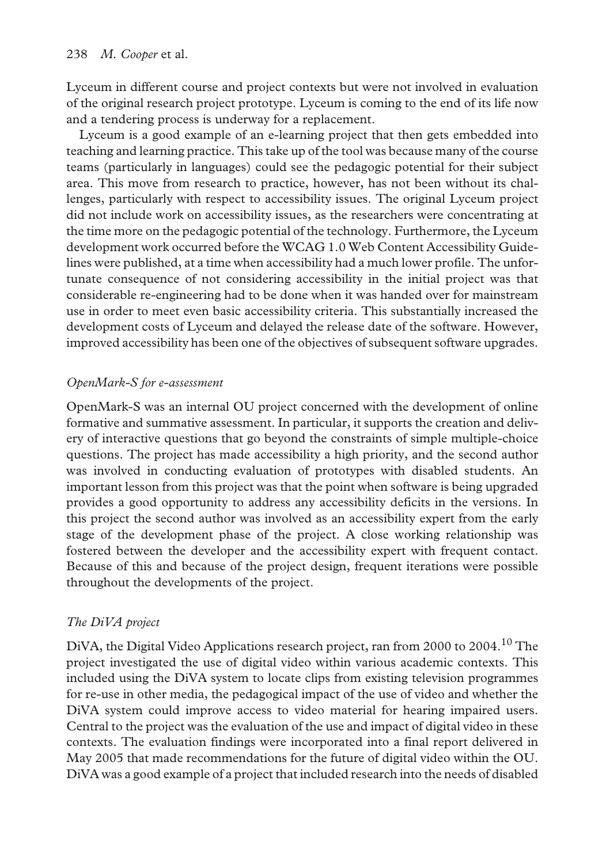Lyceum in different course and project contexts but were not involved in evaluation of the original research project prototype. Lyceum is coming to the end of its life now and a tendering process is underway for a replacement.

Lyceum is a good example of an e-learning project that then gets embedded into teaching and learning practice. This take up of the tool was because many of the course teams (particularly in languages) could see the pedagogic potential for their subject area. This move from research to practice, however, has not been without its challenges, particularly with respect to accessibility issues. The original Lyceum project did not include work on accessibility issues, as the researchers were concentrating at the time more on the pedagogic potential of the technology. Furthermore, the Lyceum development work occurred before the WCAG 1.0 Web Content Accessibility Guidelines were published, at a time when accessibility had a much lower profile. The unfortunate consequence of not considering accessibility in the initial project was that considerable re-engineering had to be done when it was handed over for mainstream use in order to meet even basic accessibility criteria. This substantially increased the development costs of Lyceum and delayed the release date of the software. However, improved accessibility has been one of the objectives of subsequent software upgrades.

# *OpenMark-S for e-assessment*

OpenMark-S was an internal OU project concerned with the development of online formative and summative assessment. In particular, it supports the creation and delivery of interactive questions that go beyond the constraints of simple multiple-choice questions. The project has made accessibility a high priority, and the second author was involved in conducting evaluation of prototypes with disabled students. An important lesson from this project was that the point when software is being upgraded provides a good opportunity to address any accessibility deficits in the versions. In this project the second author was involved as an accessibility expert from the early stage of the development phase of the project. A close working relationship was fostered between the developer and the accessibility expert with frequent contact. Because of this and because of the project design, frequent iterations were possible throughout the developments of the project.

# *The DiVA project*

DiVA, the Digital Video Applications research project, ran from 2000 to 2004.<sup>10</sup> The project investigated the use of digital video within various academic contexts. This included using the DiVA system to locate clips from existing television programmes for re-use in other media, the pedagogical impact of the use of video and whether the DiVA system could improve access to video material for hearing impaired users. Central to the project was the evaluation of the use and impact of digital video in these contexts. The evaluation findings were incorporated into a final report delivered in May 2005 that made recommendations for the future of digital video within the OU. DiVA was a good example of a project that included research into the needs of disabled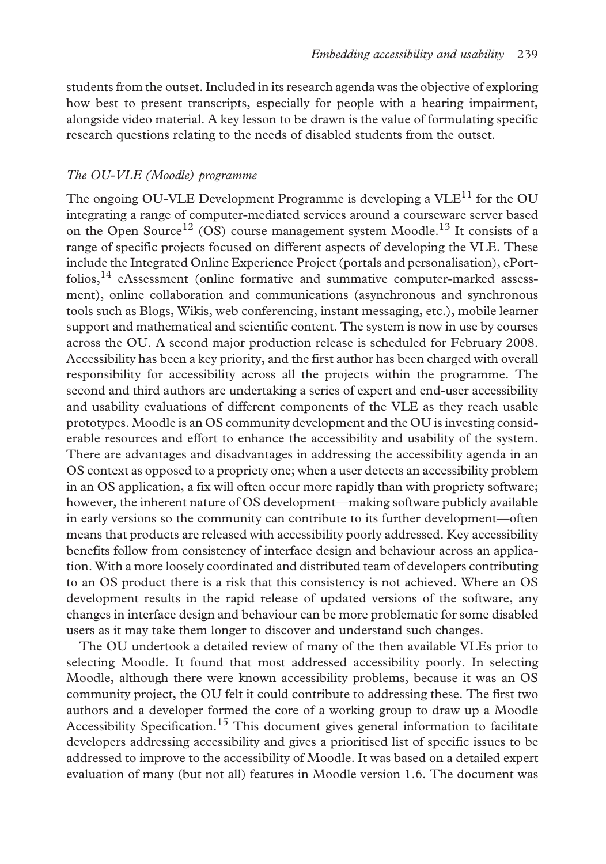students from the outset. Included in its research agenda was the objective of exploring how best to present transcripts, especially for people with a hearing impairment, alongside video material. A key lesson to be drawn is the value of formulating specific research questions relating to the needs of disabled students from the outset.

#### *The OU-VLE (Moodle) programme*

The ongoing OU-VLE Development Programme is developing a  $VLE<sup>11</sup>$  for the OU integrating a range of computer-mediated services around a courseware server based on the Open Source<sup>12</sup> (OS) course management system Moodle.<sup>13</sup> It consists of a range of specific projects focused on different aspects of developing the VLE. These include the Integrated Online Experience Project (portals and personalisation), ePort $folios$ ,<sup>14</sup> eAssessment (online formative and summative computer-marked assessment), online collaboration and communications (asynchronous and synchronous tools such as Blogs, Wikis, web conferencing, instant messaging, etc.), mobile learner support and mathematical and scientific content. The system is now in use by courses across the OU. A second major production release is scheduled for February 2008. Accessibility has been a key priority, and the first author has been charged with overall responsibility for accessibility across all the projects within the programme. The second and third authors are undertaking a series of expert and end-user accessibility and usability evaluations of different components of the VLE as they reach usable prototypes. Moodle is an OS community development and the OU is investing considerable resources and effort to enhance the accessibility and usability of the system. There are advantages and disadvantages in addressing the accessibility agenda in an OS context as opposed to a propriety one; when a user detects an accessibility problem in an OS application, a fix will often occur more rapidly than with propriety software; however, the inherent nature of OS development—making software publicly available in early versions so the community can contribute to its further development—often means that products are released with accessibility poorly addressed. Key accessibility benefits follow from consistency of interface design and behaviour across an application. With a more loosely coordinated and distributed team of developers contributing to an OS product there is a risk that this consistency is not achieved. Where an OS development results in the rapid release of updated versions of the software, any changes in interface design and behaviour can be more problematic for some disabled users as it may take them longer to discover and understand such changes.

The OU undertook a detailed review of many of the then available VLEs prior to selecting Moodle. It found that most addressed accessibility poorly. In selecting Moodle, although there were known accessibility problems, because it was an OS community project, the OU felt it could contribute to addressing these. The first two authors and a developer formed the core of a working group to draw up a Moodle Accessibility Specification.<sup>15</sup> This document gives general information to facilitate developers addressing accessibility and gives a prioritised list of specific issues to be addressed to improve to the accessibility of Moodle. It was based on a detailed expert evaluation of many (but not all) features in Moodle version 1.6. The document was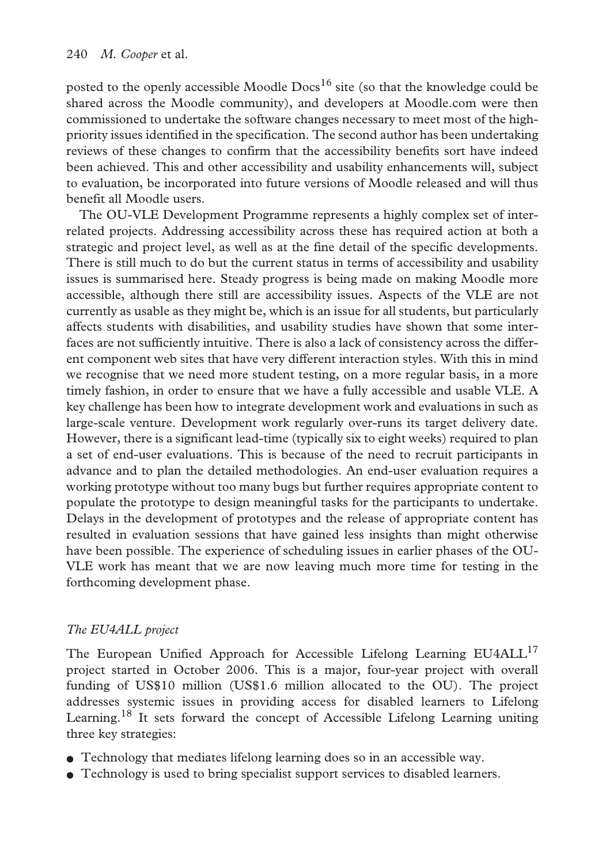posted to the openly accessible Moodle Docs<sup>16</sup> site (so that the knowledge could be shared across the Moodle community), and developers at Moodle.com were then commissioned to undertake the software changes necessary to meet most of the highpriority issues identified in the specification. The second author has been undertaking reviews of these changes to confirm that the accessibility benefits sort have indeed been achieved. This and other accessibility and usability enhancements will, subject to evaluation, be incorporated into future versions of Moodle released and will thus benefit all Moodle users.

The OU-VLE Development Programme represents a highly complex set of interrelated projects. Addressing accessibility across these has required action at both a strategic and project level, as well as at the fine detail of the specific developments. There is still much to do but the current status in terms of accessibility and usability issues is summarised here. Steady progress is being made on making Moodle more accessible, although there still are accessibility issues. Aspects of the VLE are not currently as usable as they might be, which is an issue for all students, but particularly affects students with disabilities, and usability studies have shown that some interfaces are not sufficiently intuitive. There is also a lack of consistency across the different component web sites that have very different interaction styles. With this in mind we recognise that we need more student testing, on a more regular basis, in a more timely fashion, in order to ensure that we have a fully accessible and usable VLE. A key challenge has been how to integrate development work and evaluations in such as large-scale venture. Development work regularly over-runs its target delivery date. However, there is a significant lead-time (typically six to eight weeks) required to plan a set of end-user evaluations. This is because of the need to recruit participants in advance and to plan the detailed methodologies. An end-user evaluation requires a working prototype without too many bugs but further requires appropriate content to populate the prototype to design meaningful tasks for the participants to undertake. Delays in the development of prototypes and the release of appropriate content has resulted in evaluation sessions that have gained less insights than might otherwise have been possible. The experience of scheduling issues in earlier phases of the OU-VLE work has meant that we are now leaving much more time for testing in the forthcoming development phase.

# *The EU4ALL project*

The European Unified Approach for Accessible Lifelong Learning  $EUAALL^{17}$ project started in October 2006. This is a major, four-year project with overall funding of US\$10 million (US\$1.6 million allocated to the OU). The project addresses systemic issues in providing access for disabled learners to Lifelong Learning.<sup>18</sup> It sets forward the concept of Accessible Lifelong Learning uniting three key strategies:

- Technology that mediates lifelong learning does so in an accessible way.
- Technology is used to bring specialist support services to disabled learners.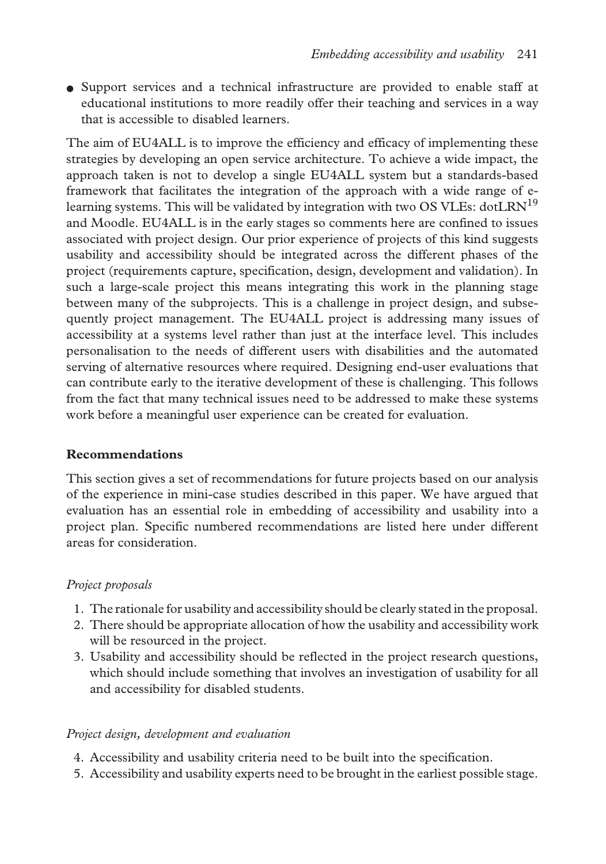● Support services and a technical infrastructure are provided to enable staff at educational institutions to more readily offer their teaching and services in a way that is accessible to disabled learners.

The aim of EU4ALL is to improve the efficiency and efficacy of implementing these strategies by developing an open service architecture. To achieve a wide impact, the approach taken is not to develop a single EU4ALL system but a standards-based framework that facilitates the integration of the approach with a wide range of elearning systems. This will be validated by integration with two OS VLEs: dotLRN<sup>19</sup> and Moodle. EU4ALL is in the early stages so comments here are confined to issues associated with project design. Our prior experience of projects of this kind suggests usability and accessibility should be integrated across the different phases of the project (requirements capture, specification, design, development and validation). In such a large-scale project this means integrating this work in the planning stage between many of the subprojects. This is a challenge in project design, and subsequently project management. The EU4ALL project is addressing many issues of accessibility at a systems level rather than just at the interface level. This includes personalisation to the needs of different users with disabilities and the automated serving of alternative resources where required. Designing end-user evaluations that can contribute early to the iterative development of these is challenging. This follows from the fact that many technical issues need to be addressed to make these systems work before a meaningful user experience can be created for evaluation.

# **Recommendations**

This section gives a set of recommendations for future projects based on our analysis of the experience in mini-case studies described in this paper. We have argued that evaluation has an essential role in embedding of accessibility and usability into a project plan. Specific numbered recommendations are listed here under different areas for consideration.

# *Project proposals*

- 1. The rationale for usability and accessibility should be clearly stated in the proposal.
- 2. There should be appropriate allocation of how the usability and accessibility work will be resourced in the project.
- 3. Usability and accessibility should be reflected in the project research questions, which should include something that involves an investigation of usability for all and accessibility for disabled students.

# *Project design, development and evaluation*

- 4. Accessibility and usability criteria need to be built into the specification.
- 5. Accessibility and usability experts need to be brought in the earliest possible stage.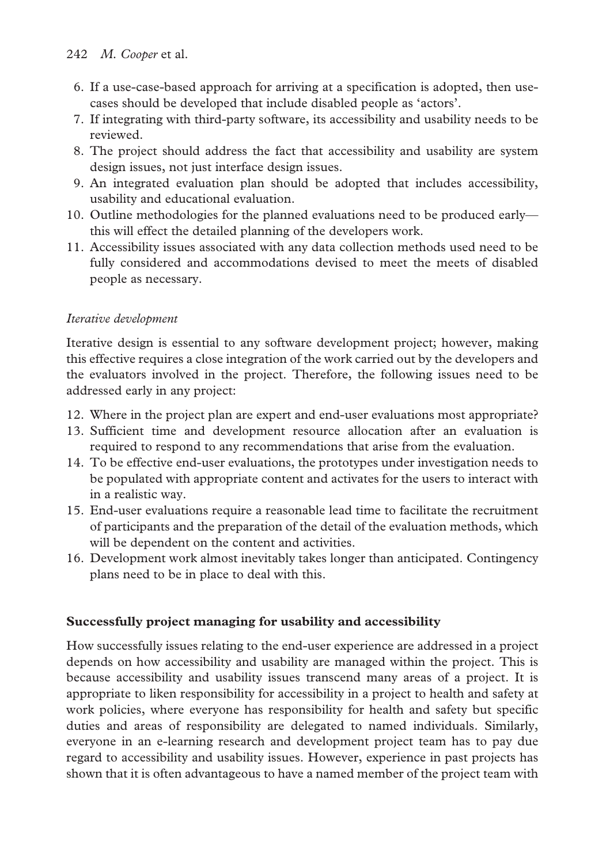- 6. If a use-case-based approach for arriving at a specification is adopted, then usecases should be developed that include disabled people as 'actors'.
- 7. If integrating with third-party software, its accessibility and usability needs to be reviewed.
- 8. The project should address the fact that accessibility and usability are system design issues, not just interface design issues.
- 9. An integrated evaluation plan should be adopted that includes accessibility, usability and educational evaluation.
- 10. Outline methodologies for the planned evaluations need to be produced early this will effect the detailed planning of the developers work.
- 11. Accessibility issues associated with any data collection methods used need to be fully considered and accommodations devised to meet the meets of disabled people as necessary.

# *Iterative development*

Iterative design is essential to any software development project; however, making this effective requires a close integration of the work carried out by the developers and the evaluators involved in the project. Therefore, the following issues need to be addressed early in any project:

- 12. Where in the project plan are expert and end-user evaluations most appropriate?
- 13. Sufficient time and development resource allocation after an evaluation is required to respond to any recommendations that arise from the evaluation.
- 14. To be effective end-user evaluations, the prototypes under investigation needs to be populated with appropriate content and activates for the users to interact with in a realistic way.
- 15. End-user evaluations require a reasonable lead time to facilitate the recruitment of participants and the preparation of the detail of the evaluation methods, which will be dependent on the content and activities.
- 16. Development work almost inevitably takes longer than anticipated. Contingency plans need to be in place to deal with this.

# **Successfully project managing for usability and accessibility**

How successfully issues relating to the end-user experience are addressed in a project depends on how accessibility and usability are managed within the project. This is because accessibility and usability issues transcend many areas of a project. It is appropriate to liken responsibility for accessibility in a project to health and safety at work policies, where everyone has responsibility for health and safety but specific duties and areas of responsibility are delegated to named individuals. Similarly, everyone in an e-learning research and development project team has to pay due regard to accessibility and usability issues. However, experience in past projects has shown that it is often advantageous to have a named member of the project team with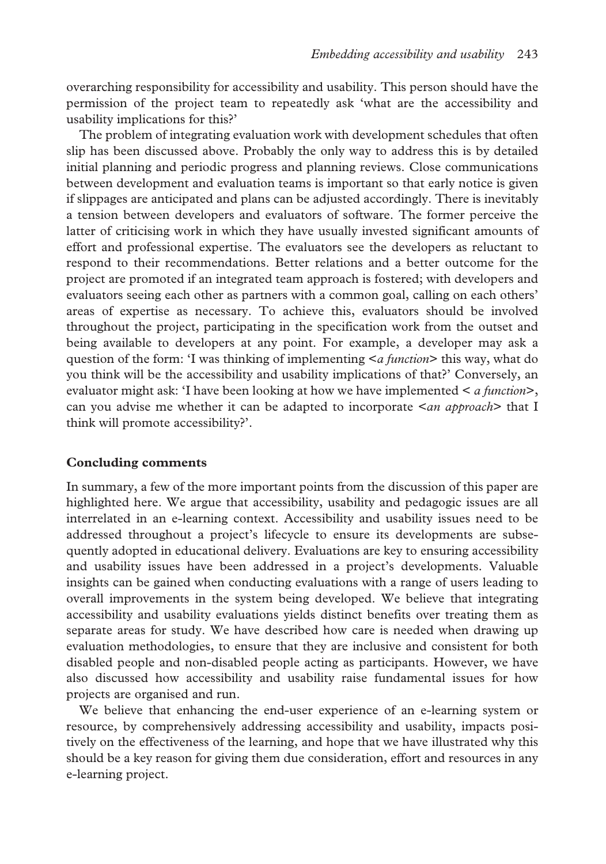overarching responsibility for accessibility and usability. This person should have the permission of the project team to repeatedly ask 'what are the accessibility and usability implications for this?'

The problem of integrating evaluation work with development schedules that often slip has been discussed above. Probably the only way to address this is by detailed initial planning and periodic progress and planning reviews. Close communications between development and evaluation teams is important so that early notice is given if slippages are anticipated and plans can be adjusted accordingly. There is inevitably a tension between developers and evaluators of software. The former perceive the latter of criticising work in which they have usually invested significant amounts of effort and professional expertise. The evaluators see the developers as reluctant to respond to their recommendations. Better relations and a better outcome for the project are promoted if an integrated team approach is fostered; with developers and evaluators seeing each other as partners with a common goal, calling on each others' areas of expertise as necessary. To achieve this, evaluators should be involved throughout the project, participating in the specification work from the outset and being available to developers at any point. For example, a developer may ask a question of the form: 'I was thinking of implementing <*a function*> this way, what do you think will be the accessibility and usability implications of that?' Conversely, an evaluator might ask: 'I have been looking at how we have implemented < *a function*>, can you advise me whether it can be adapted to incorporate <*an approach*> that I think will promote accessibility?'.

## **Concluding comments**

In summary, a few of the more important points from the discussion of this paper are highlighted here. We argue that accessibility, usability and pedagogic issues are all interrelated in an e-learning context. Accessibility and usability issues need to be addressed throughout a project's lifecycle to ensure its developments are subsequently adopted in educational delivery. Evaluations are key to ensuring accessibility and usability issues have been addressed in a project's developments. Valuable insights can be gained when conducting evaluations with a range of users leading to overall improvements in the system being developed. We believe that integrating accessibility and usability evaluations yields distinct benefits over treating them as separate areas for study. We have described how care is needed when drawing up evaluation methodologies, to ensure that they are inclusive and consistent for both disabled people and non-disabled people acting as participants. However, we have also discussed how accessibility and usability raise fundamental issues for how projects are organised and run.

We believe that enhancing the end-user experience of an e-learning system or resource, by comprehensively addressing accessibility and usability, impacts positively on the effectiveness of the learning, and hope that we have illustrated why this should be a key reason for giving them due consideration, effort and resources in any e-learning project.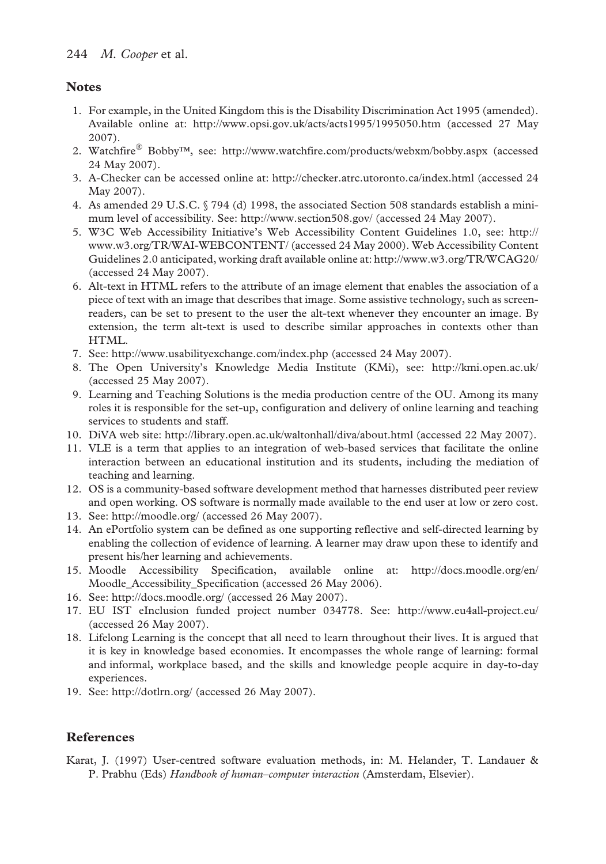# **Notes**

- 1. For example, in the United Kingdom this is the Disability Discrimination Act 1995 (amended). Available online at: http://www.opsi.gov.uk/acts/acts1995/1995050.htm (accessed 27 May 2007).
- 2. Watchfire® Bobby™, see: http://www.watchfire.com/products/webxm/bobby.aspx (accessed 24 May 2007).
- 3. A-Checker can be accessed online at: http://checker.atrc.utoronto.ca/index.html (accessed 24 May 2007).
- 4. As amended 29 U.S.C. § 794 (d) 1998, the associated Section 508 standards establish a minimum level of accessibility. See: http://www.section508.gov/ (accessed 24 May 2007).
- 5. W3C Web Accessibility Initiative's Web Accessibility Content Guidelines 1.0, see: http:// www.w3.org/TR/WAI-WEBCONTENT/ (accessed 24 May 2000). Web Accessibility Content Guidelines 2.0 anticipated, working draft available online at: http://www.w3.org/TR/WCAG20/ (accessed 24 May 2007).
- 6. Alt-text in HTML refers to the attribute of an image element that enables the association of a piece of text with an image that describes that image. Some assistive technology, such as screenreaders, can be set to present to the user the alt-text whenever they encounter an image. By extension, the term alt-text is used to describe similar approaches in contexts other than HTML.
- 7. See: http://www.usabilityexchange.com/index.php (accessed 24 May 2007).
- 8. The Open University's Knowledge Media Institute (KMi), see: http://kmi.open.ac.uk/ (accessed 25 May 2007).
- 9. Learning and Teaching Solutions is the media production centre of the OU. Among its many roles it is responsible for the set-up, configuration and delivery of online learning and teaching services to students and staff.
- 10. DiVA web site: http://library.open.ac.uk/waltonhall/diva/about.html (accessed 22 May 2007).
- 11. VLE is a term that applies to an integration of web-based services that facilitate the online interaction between an educational institution and its students, including the mediation of teaching and learning.
- 12. OS is a community-based software development method that harnesses distributed peer review and open working. OS software is normally made available to the end user at low or zero cost.
- 13. See: http://moodle.org/ (accessed 26 May 2007).
- 14. An ePortfolio system can be defined as one supporting reflective and self-directed learning by enabling the collection of evidence of learning. A learner may draw upon these to identify and present his/her learning and achievements.
- 15. Moodle Accessibility Specification, available online at: http://docs.moodle.org/en/ Moodle\_Accessibility\_Specification (accessed 26 May 2006).
- 16. See: http://docs.moodle.org/ (accessed 26 May 2007).
- 17. EU IST eInclusion funded project number 034778. See: http://www.eu4all-project.eu/ (accessed 26 May 2007).
- 18. Lifelong Learning is the concept that all need to learn throughout their lives. It is argued that it is key in knowledge based economies. It encompasses the whole range of learning: formal and informal, workplace based, and the skills and knowledge people acquire in day-to-day experiences.
- 19. See: http://dotlrn.org/ (accessed 26 May 2007).

# **References**

Karat, J. (1997) User-centred software evaluation methods, in: M. Helander, T. Landauer & P. Prabhu (Eds) *Handbook of human–computer interaction* (Amsterdam, Elsevier).